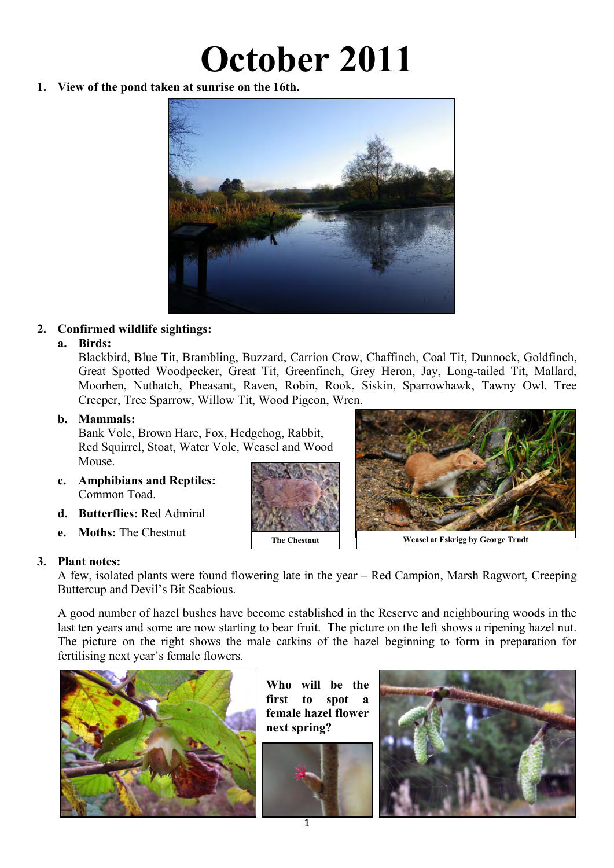# **October 2011**

**1. View of the pond taken at sunrise on the 16th.** 



# **2. Confirmed wildlife sightings:**

#### **a. Birds:**

Blackbird, Blue Tit, Brambling, Buzzard, Carrion Crow, Chaffinch, Coal Tit, Dunnock, Goldfinch, Great Spotted Woodpecker, Great Tit, Greenfinch, Grey Heron, Jay, Long-tailed Tit, Mallard, Moorhen, Nuthatch, Pheasant, Raven, Robin, Rook, Siskin, Sparrowhawk, Tawny Owl, Tree Creeper, Tree Sparrow, Willow Tit, Wood Pigeon, Wren.

#### **b. Mammals:**

Bank Vole, Brown Hare, Fox, Hedgehog, Rabbit, Red Squirrel, Stoat, Water Vole, Weasel and Wood Mouse.

- **c. Amphibians and Reptiles:**  Common Toad.
- **d. Butterflies:** Red Admiral
- **e. Moths:** The Chestnut

#### **3. Plant notes:**

A few, isolated plants were found flowering late in the year – Red Campion, Marsh Ragwort, Creeping Buttercup and Devil's Bit Scabious.

A good number of hazel bushes have become established in the Reserve and neighbouring woods in the last ten years and some are now starting to bear fruit. The picture on the left shows a ripening hazel nut. The picture on the right shows the male catkins of the hazel beginning to form in preparation for fertilising next year's female flowers.



**Who will be the first to spot a female hazel flower next spring?** 







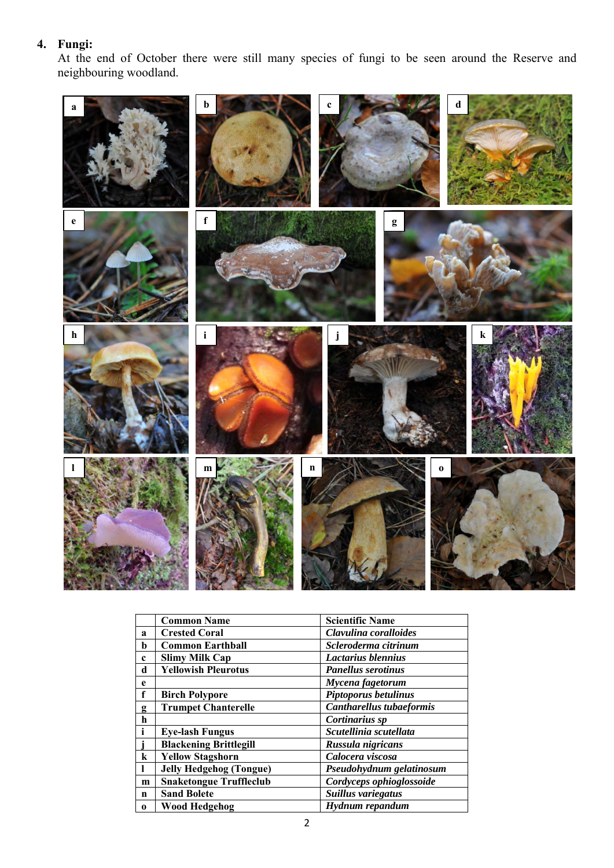#### **4. Fungi:**

At the end of October there were still many species of fungi to be seen around the Reserve and neighbouring woodland.



|              | <b>Common Name</b>             | <b>Scientific Name</b>          |
|--------------|--------------------------------|---------------------------------|
| $\mathbf a$  | <b>Crested Coral</b>           | Clavulina coralloides           |
| b            | <b>Common Earthball</b>        | Scleroderma citrinum            |
| $\mathbf c$  | <b>Slimy Milk Cap</b>          | Lactarius blennius              |
| d            | <b>Yellowish Pleurotus</b>     | <b>Panellus serotinus</b>       |
| e            |                                | Mycena fagetorum                |
| f            | <b>Birch Polypore</b>          | Piptoporus betulinus            |
| g            | <b>Trumpet Chanterelle</b>     | <b>Cantharellus tubaeformis</b> |
| h            |                                | Cortinarius sp                  |
| $\mathbf{i}$ | <b>Eye-lash Fungus</b>         | Scutellinia scutellata          |
|              | <b>Blackening Brittlegill</b>  | Russula nigricans               |
| $\bf k$      | <b>Yellow Stagshorn</b>        | Calocera viscosa                |
| L            | <b>Jelly Hedgehog (Tongue)</b> | Pseudohydnum gelatinosum        |
| m            | <b>Snaketongue Truffleclub</b> | Cordyceps ophioglossoide        |
| n            | <b>Sand Bolete</b>             | Suillus variegatus              |
| $\mathbf{0}$ | <b>Wood Hedgehog</b>           | Hydnum repandum                 |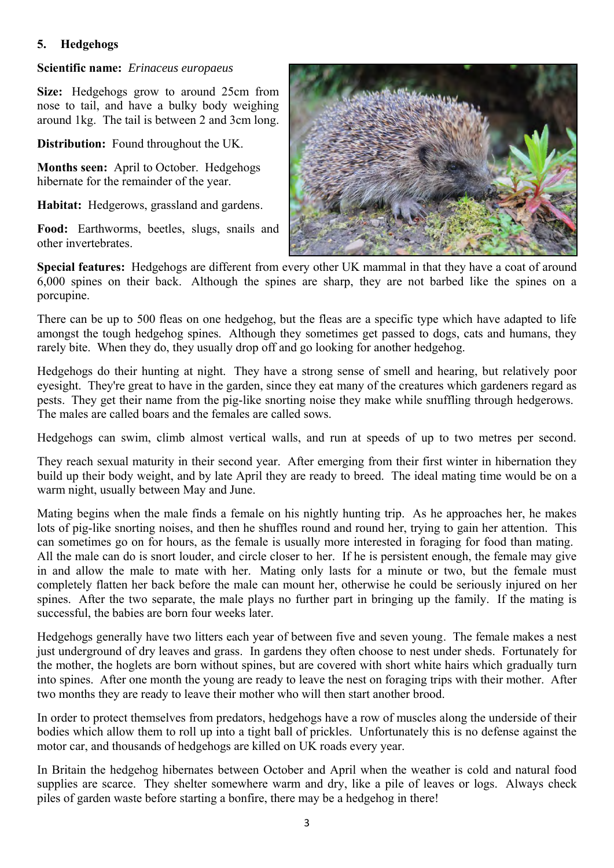#### **5. Hedgehogs**

#### **Scientific name:** *Erinaceus europaeus*

**Size:** Hedgehogs grow to around 25cm from nose to tail, and have a bulky body weighing around 1kg. The tail is between 2 and 3cm long.

**Distribution:** Found throughout the UK.

**Months seen:** April to October. Hedgehogs hibernate for the remainder of the year.

**Habitat:** Hedgerows, grassland and gardens.

**Food:** Earthworms, beetles, slugs, snails and other invertebrates.



**Special features:** Hedgehogs are different from every other UK mammal in that they have a coat of around 6,000 spines on their back. Although the spines are sharp, they are not barbed like the spines on a porcupine.

There can be up to 500 fleas on one hedgehog, but the fleas are a specific type which have adapted to life amongst the tough hedgehog spines. Although they sometimes get passed to dogs, cats and humans, they rarely bite. When they do, they usually drop off and go looking for another hedgehog.

Hedgehogs do their hunting at night. They have a strong sense of smell and hearing, but relatively poor eyesight. They're great to have in the garden, since they eat many of the creatures which gardeners regard as pests. They get their name from the pig-like snorting noise they make while snuffling through hedgerows. The males are called boars and the females are called sows.

Hedgehogs can swim, climb almost vertical walls, and run at speeds of up to two metres per second.

They reach sexual maturity in their second year. After emerging from their first winter in hibernation they build up their body weight, and by late April they are ready to breed. The ideal mating time would be on a warm night, usually between May and June.

Mating begins when the male finds a female on his nightly hunting trip. As he approaches her, he makes lots of pig-like snorting noises, and then he shuffles round and round her, trying to gain her attention. This can sometimes go on for hours, as the female is usually more interested in foraging for food than mating. All the male can do is snort louder, and circle closer to her. If he is persistent enough, the female may give in and allow the male to mate with her. Mating only lasts for a minute or two, but the female must completely flatten her back before the male can mount her, otherwise he could be seriously injured on her spines. After the two separate, the male plays no further part in bringing up the family. If the mating is successful, the babies are born four weeks later.

Hedgehogs generally have two litters each year of between five and seven young. The female makes a nest just underground of dry leaves and grass. In gardens they often choose to nest under sheds. Fortunately for the mother, the hoglets are born without spines, but are covered with short white hairs which [gradually turn](http://www.uksafari.com/jpeg3/hedgehog6.jpg)  [into spines.](http://www.uksafari.com/jpeg3/hedgehog6.jpg) After one month the young are ready to leave the nest on foraging trips with their mother. After two months they are ready to leave their mother who will then start another brood.

In order to protect themselves from predators, hedgehogs have a row of muscles along the underside of their bodies which allow them to roll up into a tight ball of prickles. Unfortunately this is no defense against the motor car, and thousands of hedgehogs are killed on UK roads every year.

In Britain the hedgehog hibernates between October and April when the weather is cold and natural food supplies are scarce. They shelter somewhere warm and dry, like a pile of leaves or logs. Always check piles of garden waste before starting a bonfire, there may be a hedgehog in there!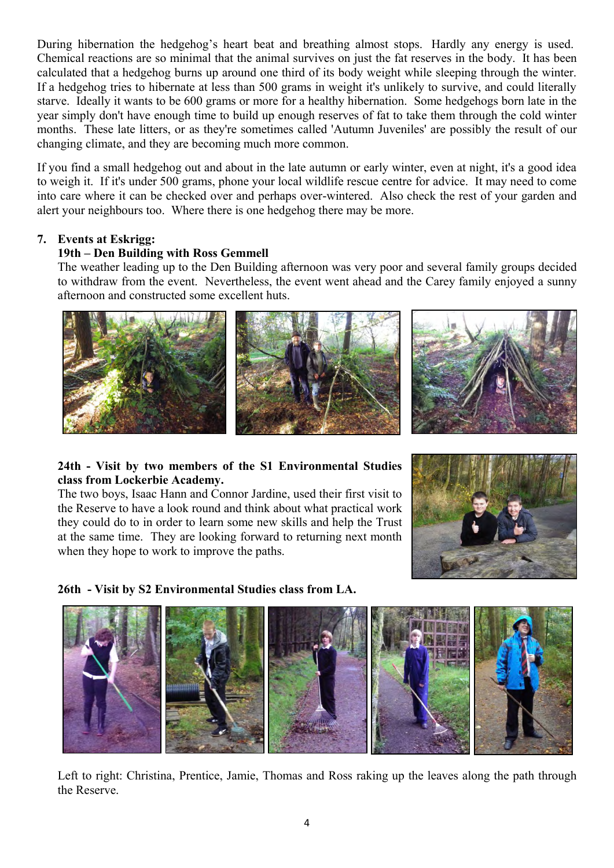During hibernation the hedgehog's heart beat and breathing almost stops. Hardly any energy is used. Chemical reactions are so minimal that the animal survives on just the fat reserves in the body. It has been calculated that a hedgehog burns up around one third of its body weight while sleeping through the winter. If a hedgehog tries to hibernate at less than 500 grams in weight it's unlikely to survive, and could literally starve. Ideally it wants to be 600 grams or more for a healthy hibernation. Some hedgehogs born late in the year simply don't have enough time to build up enough reserves of fat to take them through the cold winter months. These late litters, or as they're sometimes called 'Autumn Juveniles' are possibly the result of our changing climate, and they are becoming much more common.

If you find a small hedgehog out and about in the late autumn or early winter, even at night, it's a good idea to weigh it. If it's under 500 grams, phone your local wildlife rescue centre for advice. It may need to come into care where it can be checked over and perhaps over-wintered. Also check the rest of your garden and alert your neighbours too. Where there is one hedgehog there may be more.

# **7. Events at Eskrigg:**

# **19th – Den Building with Ross Gemmell**

The weather leading up to the Den Building afternoon was very poor and several family groups decided to withdraw from the event. Nevertheless, the event went ahead and the Carey family enjoyed a sunny afternoon and constructed some excellent huts.





#### **24th - Visit by two members of the S1 Environmental Studies class from Lockerbie Academy.**

The two boys, Isaac Hann and Connor Jardine, used their first visit to the Reserve to have a look round and think about what practical work they could do to in order to learn some new skills and help the Trust at the same time. They are looking forward to returning next month when they hope to work to improve the paths.



**26th - Visit by S2 Environmental Studies class from LA.** 



Left to right: Christina, Prentice, Jamie, Thomas and Ross raking up the leaves along the path through the Reserve.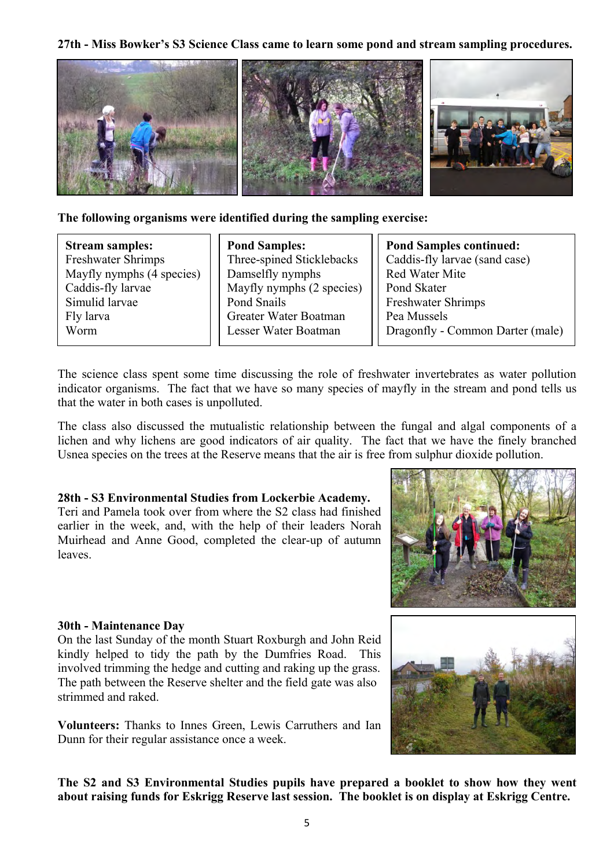**27th - Miss Bowker's S3 Science Class came to learn some pond and stream sampling procedures.** 



**The following organisms were identified during the sampling exercise:** 

**Stream samples:** Freshwater Shrimps Mayfly nymphs (4 species) Caddis-fly larvae Simulid larvae Fly larva Worm

**Pond Samples:** Three-spined Sticklebacks Damselfly nymphs Mayfly nymphs (2 species) Pond Snails Greater Water Boatman Lesser Water Boatman

**Pond Samples continued:** Caddis-fly larvae (sand case) Red Water Mite Pond Skater Freshwater Shrimps Pea Mussels Dragonfly - Common Darter (male)

The science class spent some time discussing the role of freshwater invertebrates as water pollution indicator organisms. The fact that we have so many species of mayfly in the stream and pond tells us that the water in both cases is unpolluted.

The class also discussed the mutualistic relationship between the fungal and algal components of a lichen and why lichens are good indicators of air quality. The fact that we have the finely branched Usnea species on the trees at the Reserve means that the air is free from sulphur dioxide pollution.

#### **28th - S3 Environmental Studies from Lockerbie Academy.**

Teri and Pamela took over from where the S2 class had finished earlier in the week, and, with the help of their leaders Norah Muirhead and Anne Good, completed the clear-up of autumn leaves.





#### **30th - Maintenance Day**

On the last Sunday of the month Stuart Roxburgh and John Reid kindly helped to tidy the path by the Dumfries Road. This involved trimming the hedge and cutting and raking up the grass. The path between the Reserve shelter and the field gate was also strimmed and raked.

**Volunteers:** Thanks to Innes Green, Lewis Carruthers and Ian Dunn for their regular assistance once a week.

**The S2 and S3 Environmental Studies pupils have prepared a booklet to show how they went about raising funds for Eskrigg Reserve last session. The booklet is on display at Eskrigg Centre.**